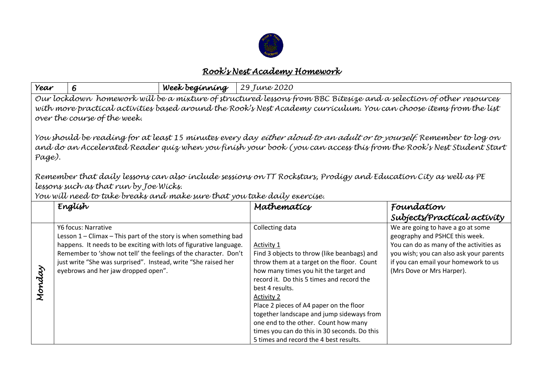

## *Rook's Nest Academy Homework*

| Year                                                                                                                                                                                                                                                                                                                                                                                                                                                                                                                                    | 6                                                                                                                                                                                                                                                                                                                                            | Week beginning | 29 June 2020                                                                                                                                                                                                                                                                                                                                                                                                                                                                       |                                                                                                                                                                                                                                |  |  |
|-----------------------------------------------------------------------------------------------------------------------------------------------------------------------------------------------------------------------------------------------------------------------------------------------------------------------------------------------------------------------------------------------------------------------------------------------------------------------------------------------------------------------------------------|----------------------------------------------------------------------------------------------------------------------------------------------------------------------------------------------------------------------------------------------------------------------------------------------------------------------------------------------|----------------|------------------------------------------------------------------------------------------------------------------------------------------------------------------------------------------------------------------------------------------------------------------------------------------------------------------------------------------------------------------------------------------------------------------------------------------------------------------------------------|--------------------------------------------------------------------------------------------------------------------------------------------------------------------------------------------------------------------------------|--|--|
| Our lockdown homework will be a mixture of structured lessons from BBC Bitesize and a selection of other resources<br>with more practical activities based around the Rook's Nest Academy curriculum. You can choose items from the list<br>over the course of the week.<br>You should be reading for at least 15 minutes every day <i>either aloud to an adult or to yourself.</i> Remember to log on<br>and do an Accelerated Reader quíz when you fínísh your book (you can access thís from the Rook's Nest Student Start<br>Page). |                                                                                                                                                                                                                                                                                                                                              |                |                                                                                                                                                                                                                                                                                                                                                                                                                                                                                    |                                                                                                                                                                                                                                |  |  |
| Remember that daily lessons can also include sessions on TT Rockstars, Prodigy and Education City as well as PE<br>lessons such as that run by Joe Wicks.<br>You will need to take breaks and make sure that you take daily exercise.                                                                                                                                                                                                                                                                                                   |                                                                                                                                                                                                                                                                                                                                              |                |                                                                                                                                                                                                                                                                                                                                                                                                                                                                                    |                                                                                                                                                                                                                                |  |  |
|                                                                                                                                                                                                                                                                                                                                                                                                                                                                                                                                         | English                                                                                                                                                                                                                                                                                                                                      |                | Mathematics                                                                                                                                                                                                                                                                                                                                                                                                                                                                        | Foundation<br>Subjects/Practical activity                                                                                                                                                                                      |  |  |
| Monday                                                                                                                                                                                                                                                                                                                                                                                                                                                                                                                                  | Y6 focus: Narrative<br>Lesson $1$ – Climax – This part of the story is when something bad<br>happens. It needs to be exciting with lots of figurative language.<br>Remember to 'show not tell' the feelings of the character. Don't<br>just write "She was surprised". Instead, write "She raised her<br>eyebrows and her jaw dropped open". |                | Collecting data<br>Activity 1<br>Find 3 objects to throw (like beanbags) and<br>throw them at a target on the floor. Count<br>how many times you hit the target and<br>record it. Do this 5 times and record the<br>best 4 results.<br><b>Activity 2</b><br>Place 2 pieces of A4 paper on the floor<br>together landscape and jump sideways from<br>one end to the other. Count how many<br>times you can do this in 30 seconds. Do this<br>5 times and record the 4 best results. | We are going to have a go at some<br>geography and PSHCE this week.<br>You can do as many of the activities as<br>you wish; you can also ask your parents<br>if you can email your homework to us<br>(Mrs Dove or Mrs Harper). |  |  |